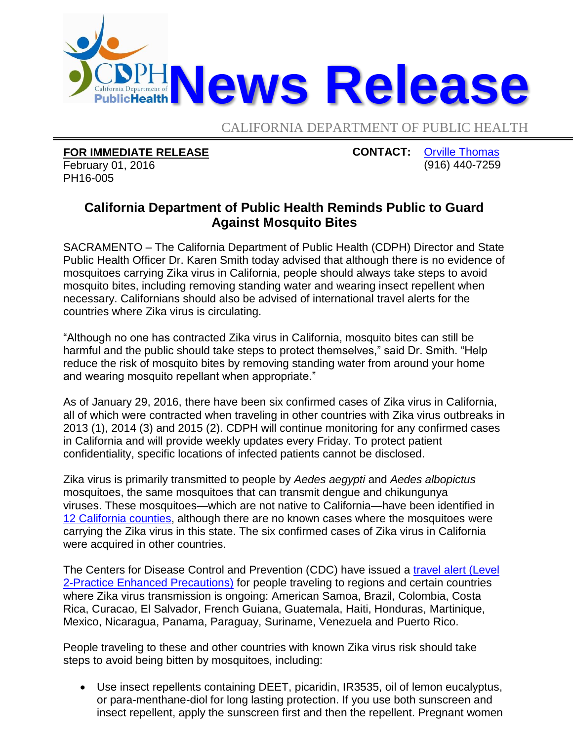

CALIFORNIA DEPARTMENT OF PUBLIC HEALTH

**FOR IMMEDIATE RELEASE** February 01, 2016 PH16-005

**CONTACT:** [Orville Thomas](mailto:Orville.Thomas@cdph.ca.gov?subject=CDPH%20news%20release) (916) 440-7259

## **California Department of Public Health Reminds Public to Guard Against Mosquito Bites**

SACRAMENTO – The California Department of Public Health (CDPH) Director and State Public Health Officer Dr. Karen Smith today advised that although there is no evidence of mosquitoes carrying Zika virus in California, people should always take steps to avoid mosquito bites, including removing standing water and wearing insect repellent when necessary. Californians should also be advised of international travel alerts for the countries where Zika virus is circulating.

"Although no one has contracted Zika virus in California, mosquito bites can still be harmful and the public should take steps to protect themselves," said Dr. Smith. "Help reduce the risk of mosquito bites by removing standing water from around your home and wearing mosquito repellant when appropriate."

As of January 29, 2016, there have been six confirmed cases of Zika virus in California, all of which were contracted when traveling in other countries with Zika virus outbreaks in 2013 (1), 2014 (3) and 2015 (2). CDPH will continue monitoring for any confirmed cases in California and will provide weekly updates every Friday. To protect patient confidentiality, specific locations of infected patients cannot be disclosed.

Zika virus is primarily transmitted to people by *Aedes aegypti* and *Aedes albopictus*  mosquitoes, the same mosquitoes that can transmit dengue and chikungunya viruses. These mosquitoes—which are not native to California—have been identified in [12 California counties,](https://www.cdph.ca.gov/HealthInfo/discond/Documents/AedesDistributionMap.pdf) although there are no known cases where the mosquitoes were carrying the Zika virus in this state. The six confirmed cases of Zika virus in California were acquired in other countries.

The Centers for Disease Control and Prevention (CDC) have issued a travel alert (Level [2-Practice Enhanced Precautions\)](http://wwwnc.cdc.gov/travel/notices) for people traveling to regions and certain countries where Zika virus transmission is ongoing: American Samoa, Brazil, Colombia, Costa Rica, Curacao, El Salvador, French Guiana, Guatemala, Haiti, Honduras, Martinique, Mexico, Nicaragua, Panama, Paraguay, Suriname, Venezuela and Puerto Rico.

People traveling to these and other countries with known Zika virus risk should take steps to avoid being bitten by mosquitoes, including:

 Use insect repellents containing DEET, picaridin, IR3535, oil of lemon eucalyptus, or para-menthane-diol for long lasting protection. If you use both sunscreen and insect repellent, apply the sunscreen first and then the repellent. Pregnant women